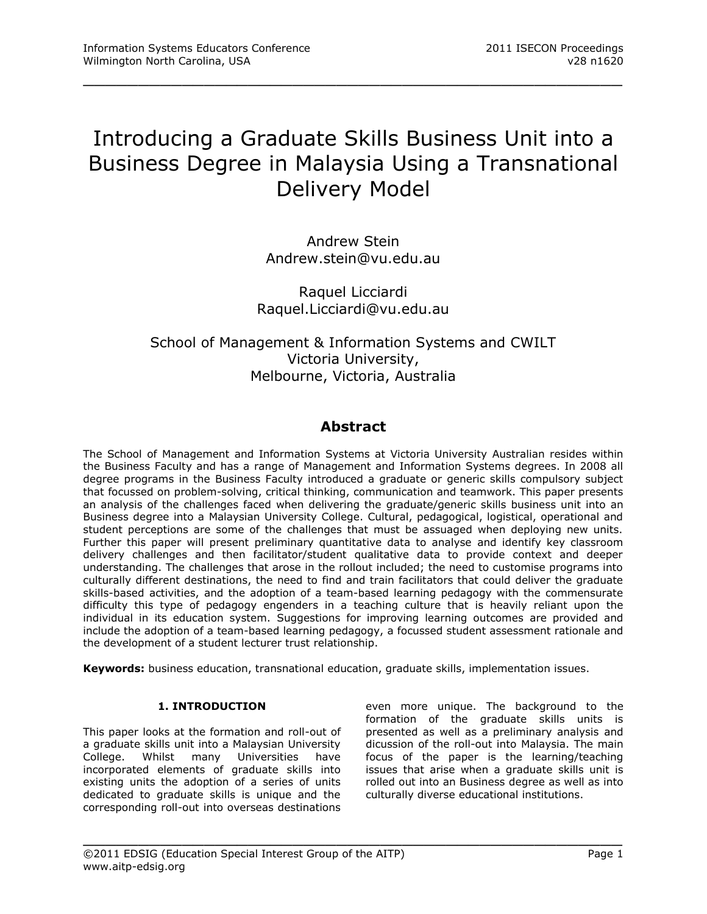# Introducing a Graduate Skills Business Unit into a Business Degree in Malaysia Using a Transnational Delivery Model

\_\_\_\_\_\_\_\_\_\_\_\_\_\_\_\_\_\_\_\_\_\_\_\_\_\_\_\_\_\_\_\_\_\_\_\_\_\_\_\_\_\_\_\_\_\_\_\_\_

Andrew Stein [Andrew.stein@vu.edu.au](mailto:Andrew.stein@vu.edu.au)

Raquel Licciardi [Raquel.Licciardi@vu.edu.au](mailto:Raquel.Licciardi@vu.edu.au)

# School of Management & Information Systems and CWILT Victoria University, Melbourne, Victoria, Australia

# **Abstract**

The School of Management and Information Systems at Victoria University Australian resides within the Business Faculty and has a range of Management and Information Systems degrees. In 2008 all degree programs in the Business Faculty introduced a graduate or generic skills compulsory subject that focussed on problem-solving, critical thinking, communication and teamwork. This paper presents an analysis of the challenges faced when delivering the graduate/generic skills business unit into an Business degree into a Malaysian University College. Cultural, pedagogical, logistical, operational and student perceptions are some of the challenges that must be assuaged when deploying new units. Further this paper will present preliminary quantitative data to analyse and identify key classroom delivery challenges and then facilitator/student qualitative data to provide context and deeper understanding. The challenges that arose in the rollout included; the need to customise programs into culturally different destinations, the need to find and train facilitators that could deliver the graduate skills-based activities, and the adoption of a team-based learning pedagogy with the commensurate difficulty this type of pedagogy engenders in a teaching culture that is heavily reliant upon the individual in its education system. Suggestions for improving learning outcomes are provided and include the adoption of a team-based learning pedagogy, a focussed student assessment rationale and the development of a student lecturer trust relationship.

**Keywords:** business education, transnational education, graduate skills, implementation issues.

# **1. INTRODUCTION**

This paper looks at the formation and roll-out of a graduate skills unit into a Malaysian University College. Whilst many Universities have incorporated elements of graduate skills into existing units the adoption of a series of units dedicated to graduate skills is unique and the corresponding roll-out into overseas destinations

even more unique. The background to the formation of the graduate skills units is presented as well as a preliminary analysis and dicussion of the roll-out into Malaysia. The main focus of the paper is the learning/teaching issues that arise when a graduate skills unit is rolled out into an Business degree as well as into culturally diverse educational institutions.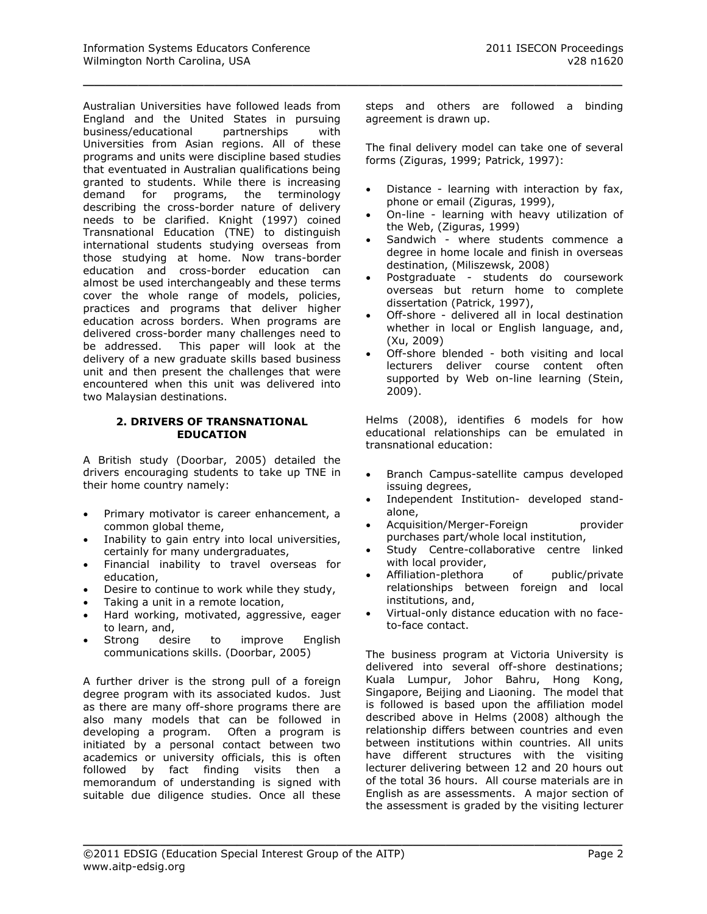Australian Universities have followed leads from England and the United States in pursuing business/educational partnerships with Universities from Asian regions. All of these programs and units were discipline based studies that eventuated in Australian qualifications being granted to students. While there is increasing demand for programs, the terminology describing the cross-border nature of delivery needs to be clarified. Knight (1997) coined Transnational Education (TNE) to distinguish international students studying overseas from those studying at home. Now trans-border education and cross-border education can almost be used interchangeably and these terms cover the whole range of models, policies, practices and programs that deliver higher education across borders. When programs are delivered cross-border many challenges need to be addressed. This paper will look at the delivery of a new graduate skills based business unit and then present the challenges that were encountered when this unit was delivered into two Malaysian destinations.

#### **2. DRIVERS OF TRANSNATIONAL EDUCATION**

A British study (Doorbar, 2005) detailed the drivers encouraging students to take up TNE in their home country namely:

- Primary motivator is career enhancement, a common global theme,
- Inability to gain entry into local universities, certainly for many undergraduates,
- Financial inability to travel overseas for education,
- Desire to continue to work while they study,
- Taking a unit in a remote location,
- Hard working, motivated, aggressive, eager to learn, and,
- Strong desire to improve English communications skills. (Doorbar, 2005)

A further driver is the strong pull of a foreign degree program with its associated kudos. Just as there are many off-shore programs there are also many models that can be followed in developing a program. Often a program is initiated by a personal contact between two academics or university officials, this is often followed by fact finding visits then a memorandum of understanding is signed with suitable due diligence studies. Once all these

steps and others are followed a binding agreement is drawn up.

\_\_\_\_\_\_\_\_\_\_\_\_\_\_\_\_\_\_\_\_\_\_\_\_\_\_\_\_\_\_\_\_\_\_\_\_\_\_\_\_\_\_\_\_\_\_\_\_\_

The final delivery model can take one of several forms (Ziguras, 1999; Patrick, 1997):

- Distance learning with interaction by fax, phone or email (Ziguras, 1999),
- On-line learning with heavy utilization of the Web, (Ziguras, 1999)
- Sandwich where students commence a degree in home locale and finish in overseas destination, (Miliszewsk, 2008)
- Postgraduate students do coursework overseas but return home to complete dissertation (Patrick, 1997),
- Off-shore delivered all in local destination whether in local or English language, and, (Xu, 2009)
- Off-shore blended both visiting and local lecturers deliver course content often supported by Web on-line learning (Stein, 2009).

Helms (2008), identifies 6 models for how educational relationships can be emulated in transnational education:

- Branch Campus-satellite campus developed issuing degrees,
- Independent Institution- developed standalone,
- Acquisition/Merger-Foreign provider purchases part/whole local institution,
- Study Centre-collaborative centre linked with local provider,
- Affiliation-plethora of public/private relationships between foreign and local institutions, and,
- Virtual-only distance education with no faceto-face contact.

The business program at Victoria University is delivered into several off-shore destinations; Kuala Lumpur, Johor Bahru, Hong Kong, Singapore, Beijing and Liaoning. The model that is followed is based upon the affiliation model described above in Helms (2008) although the relationship differs between countries and even between institutions within countries. All units have different structures with the visiting lecturer delivering between 12 and 20 hours out of the total 36 hours. All course materials are in English as are assessments. A major section of the assessment is graded by the visiting lecturer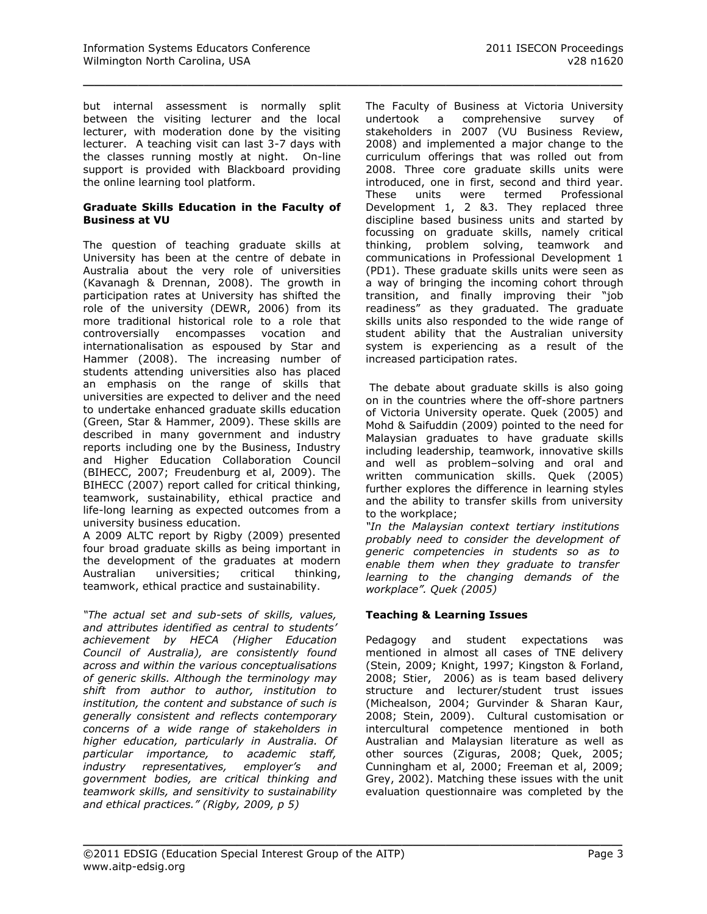but internal assessment is normally split between the visiting lecturer and the local lecturer, with moderation done by the visiting lecturer. A teaching visit can last 3-7 days with the classes running mostly at night. On-line support is provided with Blackboard providing the online learning tool platform.

\_\_\_\_\_\_\_\_\_\_\_\_\_\_\_\_\_\_\_\_\_\_\_\_\_\_\_\_\_\_\_\_\_\_\_\_\_\_\_\_\_\_\_\_\_\_\_\_\_

#### **Graduate Skills Education in the Faculty of Business at VU**

The question of teaching graduate skills at University has been at the centre of debate in Australia about the very role of universities (Kavanagh & Drennan, 2008). The growth in participation rates at University has shifted the role of the university (DEWR, 2006) from its more traditional historical role to a role that controversially encompasses vocation and internationalisation as espoused by Star and Hammer (2008). The increasing number of students attending universities also has placed an emphasis on the range of skills that universities are expected to deliver and the need to undertake enhanced graduate skills education (Green, Star & Hammer, 2009). These skills are described in many government and industry reports including one by the Business, Industry and Higher Education Collaboration Council (BIHECC, 2007; Freudenburg et al, 2009). The BIHECC (2007) report called for critical thinking, teamwork, sustainability, ethical practice and life-long learning as expected outcomes from a university business education.

A 2009 ALTC report by Rigby (2009) presented four broad graduate skills as being important in the development of the graduates at modern Australian universities; critical thinking, teamwork, ethical practice and sustainability.

*"The actual set and sub-sets of skills, values, and attributes identified as central to students' achievement by HECA (Higher Education Council of Australia), are consistently found across and within the various conceptualisations of generic skills. Although the terminology may shift from author to author, institution to institution, the content and substance of such is generally consistent and reflects contemporary concerns of a wide range of stakeholders in higher education, particularly in Australia. Of particular importance, to academic staff, industry representatives, employer's and government bodies, are critical thinking and teamwork skills, and sensitivity to sustainability and ethical practices." (Rigby, 2009, p 5)*

The Faculty of Business at Victoria University undertook a comprehensive survey of stakeholders in 2007 (VU Business Review, 2008) and implemented a major change to the curriculum offerings that was rolled out from 2008. Three core graduate skills units were introduced, one in first, second and third year. These units were termed Professional Development 1, 2 &3. They replaced three discipline based business units and started by focussing on graduate skills, namely critical thinking, problem solving, teamwork and communications in Professional Development 1 (PD1). These graduate skills units were seen as a way of bringing the incoming cohort through transition, and finally improving their "job readiness" as they graduated. The graduate skills units also responded to the wide range of student ability that the Australian university system is experiencing as a result of the increased participation rates.

The debate about graduate skills is also going on in the countries where the off-shore partners of Victoria University operate. Quek (2005) and Mohd & Saifuddin (2009) pointed to the need for Malaysian graduates to have graduate skills including leadership, teamwork, innovative skills and well as problem–solving and oral and written communication skills. Quek (2005) further explores the difference in learning styles and the ability to transfer skills from university to the workplace;

*"In the Malaysian context tertiary institutions probably need to consider the development of generic competencies in students so as to enable them when they graduate to transfer learning to the changing demands of the workplace". Quek (2005)*

# **Teaching & Learning Issues**

Pedagogy and student expectations was mentioned in almost all cases of TNE delivery (Stein, 2009; Knight, 1997; Kingston & Forland, 2008; Stier, 2006) as is team based delivery structure and lecturer/student trust issues (Michealson, 2004; Gurvinder & Sharan Kaur, 2008; Stein, 2009). Cultural customisation or intercultural competence mentioned in both Australian and Malaysian literature as well as other sources (Ziguras, 2008; Quek, 2005; Cunningham et al, 2000; Freeman et al, 2009; Grey, 2002). Matching these issues with the unit evaluation questionnaire was completed by the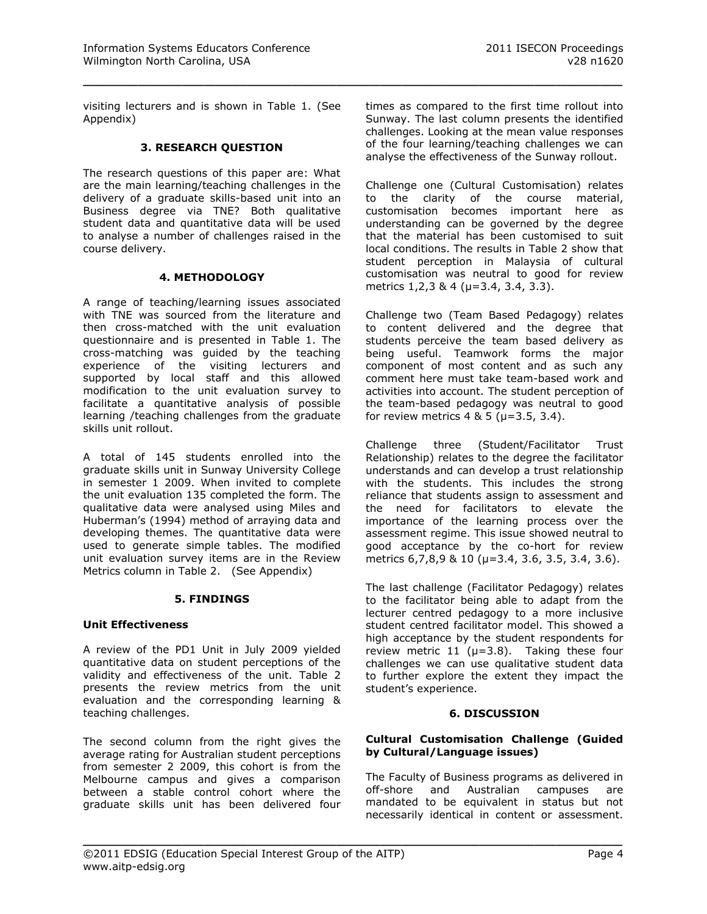visiting lecturers and is shown in Table 1. (See Appendix)

\_\_\_\_\_\_\_\_\_\_\_\_\_\_\_\_\_\_\_\_\_\_\_\_\_\_\_\_\_\_\_\_\_\_\_\_\_\_\_\_\_\_\_\_\_\_\_\_\_

# **3. RESEARCH QUESTION**

The research questions of this paper are: What are the main learning/teaching challenges in the delivery of a graduate skills-based unit into an Business degree via TNE? Both qualitative student data and quantitative data will be used to analyse a number of challenges raised in the course delivery.

#### **4. METHODOLOGY**

A range of teaching/learning issues associated with TNF was sourced from the literature and then cross-matched with the unit evaluation questionnaire and is presented in Table 1. The cross-matching was guided by the teaching experience of the visiting lecturers and supported by local staff and this allowed modification to the unit evaluation survey to facilitate a quantitative analysis of possible learning /teaching challenges from the graduate skills unit rollout.

A total of 145 students enrolled into the graduate skills unit in Sunway University College in semester 1 2009. When invited to complete the unit evaluation 135 completed the form. The qualitative data were analysed using Miles and Huberman's (1994) method of arraying data and developing themes. The quantitative data were used to generate simple tables. The modified unit evaluation survey items are in the Review Metrics column in Table 2. (See Appendix)

#### **5. FINDINGS**

# **Unit Effectiveness**

A review of the PD1 Unit in July 2009 yielded quantitative data on student perceptions of the validity and effectiveness of the unit. Table 2 presents the review metrics from the unit evaluation and the corresponding learning & teaching challenges.

The second column from the right gives the average rating for Australian student perceptions from semester 2 2009, this cohort is from the Melbourne campus and gives a comparison between a stable control cohort where the graduate skills unit has been delivered four

times as compared to the first time rollout into Sunway. The last column presents the identified challenges. Looking at the mean value responses of the four learning/teaching challenges we can analyse the effectiveness of the Sunway rollout.

Challenge one (Cultural Customisation) relates to the clarity of the course material, customisation becomes important here as understanding can be governed by the degree that the material has been customised to suit local conditions. The results in Table 2 show that student perception in Malaysia of cultural customisation was neutral to good for review metrics 1,2,3 & 4 ( $\mu$ =3.4, 3.4, 3.3).

Challenge two (Team Based Pedagogy) relates to content delivered and the degree that students perceive the team based delivery as being useful. Teamwork forms the major component of most content and as such any comment here must take team-based work and activities into account. The student perception of the team-based pedagogy was neutral to good for review metrics  $4 \& 5 (\mu = 3.5, 3.4)$ .

Challenge three (Student/Facilitator Trust Relationship) relates to the degree the facilitator understands and can develop a trust relationship with the students. This includes the strong reliance that students assign to assessment and the need for facilitators to elevate the importance of the learning process over the assessment regime. This issue showed neutral to good acceptance by the co-hort for review metrics 6,7,8,9 & 10 ( $\mu$ =3.4, 3.6, 3.5, 3.4, 3.6).

The last challenge (Facilitator Pedagogy) relates to the facilitator being able to adapt from the lecturer centred pedagogy to a more inclusive student centred facilitator model. This showed a high acceptance by the student respondents for review metric 11 ( $\mu$ =3.8). Taking these four challenges we can use qualitative student data to further explore the extent they impact the student's experience.

# **6. DISCUSSION**

#### **Cultural Customisation Challenge (Guided by Cultural/Language issues)**

The Faculty of Business programs as delivered in off-shore and Australian campuses are mandated to be equivalent in status but not necessarily identical in content or assessment.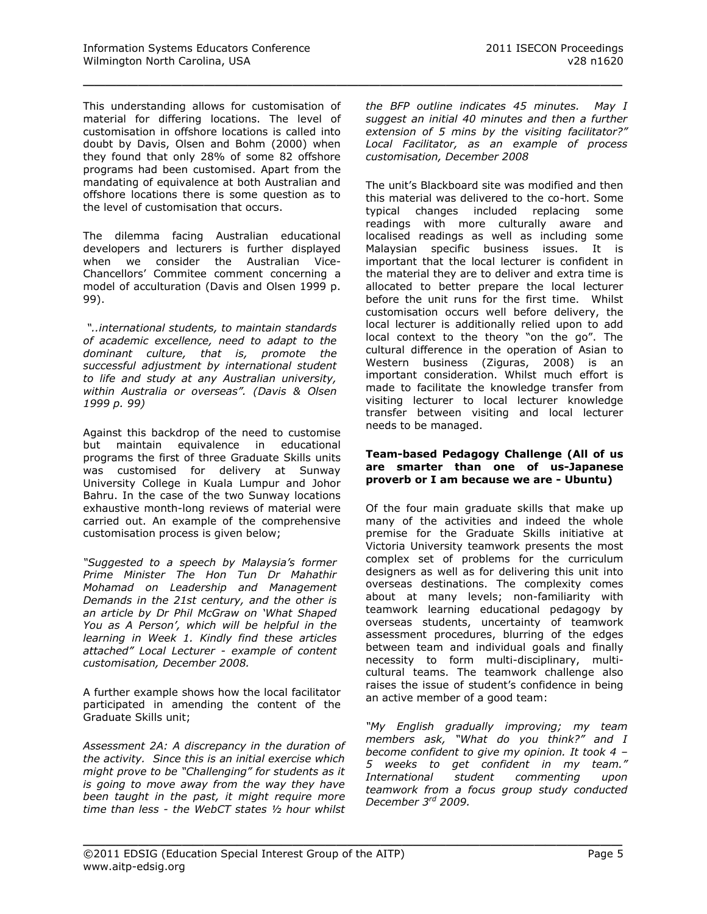This understanding allows for customisation of material for differing locations. The level of customisation in offshore locations is called into doubt by Davis, Olsen and Bohm (2000) when they found that only 28% of some 82 offshore programs had been customised. Apart from the mandating of equivalence at both Australian and offshore locations there is some question as to the level of customisation that occurs.

\_\_\_\_\_\_\_\_\_\_\_\_\_\_\_\_\_\_\_\_\_\_\_\_\_\_\_\_\_\_\_\_\_\_\_\_\_\_\_\_\_\_\_\_\_\_\_\_\_

The dilemma facing Australian educational developers and lecturers is further displayed when we consider the Australian Vice-Chancellors' Commitee comment concerning a model of acculturation (Davis and Olsen 1999 p. 99).

*"..international students, to maintain standards of academic excellence, need to adapt to the dominant culture, that is, promote the successful adjustment by international student to life and study at any Australian university, within Australia or overseas". (Davis & Olsen 1999 p. 99)*

Against this backdrop of the need to customise but maintain equivalence in educational programs the first of three Graduate Skills units was customised for delivery at Sunway University College in Kuala Lumpur and Johor Bahru. In the case of the two Sunway locations exhaustive month-long reviews of material were carried out. An example of the comprehensive customisation process is given below;

*"Suggested to a speech by Malaysia's former Prime Minister The Hon Tun Dr Mahathir Mohamad on Leadership and Management Demands in the 21st century, and the other is an article by Dr Phil McGraw on 'What Shaped You as A Person', which will be helpful in the learning in Week 1. Kindly find these articles attached" Local Lecturer - example of content customisation, December 2008.*

A further example shows how the local facilitator participated in amending the content of the Graduate Skills unit;

*Assessment 2A: A discrepancy in the duration of the activity. Since this is an initial exercise which might prove to be "Challenging" for students as it is going to move away from the way they have been taught in the past, it might require more time than less - the WebCT states ½ hour whilst*  *the BFP outline indicates 45 minutes. May I suggest an initial 40 minutes and then a further extension of 5 mins by the visiting facilitator?" Local Facilitator, as an example of process customisation, December 2008*

The unit's Blackboard site was modified and then this material was delivered to the co-hort. Some typical changes included replacing some readings with more culturally aware and localised readings as well as including some Malaysian specific business issues. It is important that the local lecturer is confident in the material they are to deliver and extra time is allocated to better prepare the local lecturer before the unit runs for the first time. Whilst customisation occurs well before delivery, the local lecturer is additionally relied upon to add local context to the theory "on the go". The cultural difference in the operation of Asian to Western business (Ziguras, 2008) is an important consideration. Whilst much effort is made to facilitate the knowledge transfer from visiting lecturer to local lecturer knowledge transfer between visiting and local lecturer needs to be managed.

#### **Team-based Pedagogy Challenge (All of us are smarter than one of us-Japanese proverb or I am because we are - Ubuntu)**

Of the four main graduate skills that make up many of the activities and indeed the whole premise for the Graduate Skills initiative at Victoria University teamwork presents the most complex set of problems for the curriculum designers as well as for delivering this unit into overseas destinations. The complexity comes about at many levels; non-familiarity with teamwork learning educational pedagogy by overseas students, uncertainty of teamwork assessment procedures, blurring of the edges between team and individual goals and finally necessity to form multi-disciplinary, multicultural teams. The teamwork challenge also raises the issue of student's confidence in being an active member of a good team:

*"My English gradually improving; my team members ask, "What do you think?" and I become confident to give my opinion. It took 4 – 5 weeks to get confident in my team." International student commenting upon teamwork from a focus group study conducted December 3rd 2009.*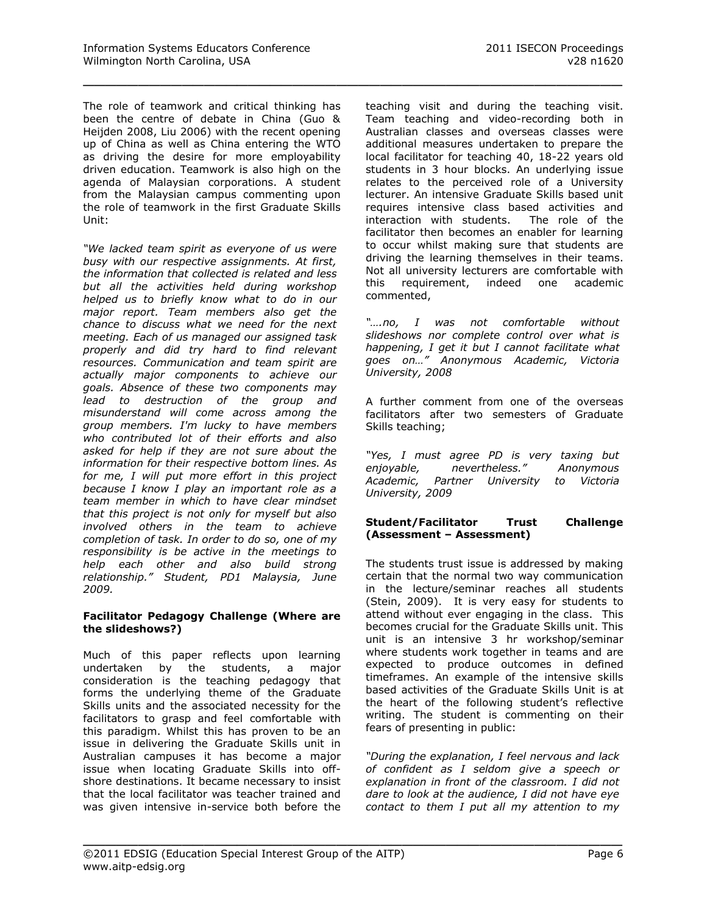The role of teamwork and critical thinking has been the centre of debate in China (Guo & Heijden 2008, Liu 2006) with the recent opening up of China as well as China entering the WTO as driving the desire for more employability driven education. Teamwork is also high on the agenda of Malaysian corporations. A student from the Malaysian campus commenting upon the role of teamwork in the first Graduate Skills Unit:

\_\_\_\_\_\_\_\_\_\_\_\_\_\_\_\_\_\_\_\_\_\_\_\_\_\_\_\_\_\_\_\_\_\_\_\_\_\_\_\_\_\_\_\_\_\_\_\_\_

*"We lacked team spirit as everyone of us were busy with our respective assignments. At first, the information that collected is related and less but all the activities held during workshop helped us to briefly know what to do in our major report. Team members also get the chance to discuss what we need for the next meeting. Each of us managed our assigned task properly and did try hard to find relevant resources. Communication and team spirit are actually major components to achieve our goals. Absence of these two components may lead to destruction of the group and misunderstand will come across among the group members. I'm lucky to have members who contributed lot of their efforts and also asked for help if they are not sure about the information for their respective bottom lines. As for me, I will put more effort in this project because I know I play an important role as a team member in which to have clear mindset that this project is not only for myself but also involved others in the team to achieve completion of task. In order to do so, one of my responsibility is be active in the meetings to help each other and also build strong relationship." Student, PD1 Malaysia, June 2009.*

#### **Facilitator Pedagogy Challenge (Where are the slideshows?)**

Much of this paper reflects upon learning undertaken by the students, a major consideration is the teaching pedagogy that forms the underlying theme of the Graduate Skills units and the associated necessity for the facilitators to grasp and feel comfortable with this paradigm. Whilst this has proven to be an issue in delivering the Graduate Skills unit in Australian campuses it has become a major issue when locating Graduate Skills into offshore destinations. It became necessary to insist that the local facilitator was teacher trained and was given intensive in-service both before the teaching visit and during the teaching visit. Team teaching and video-recording both in Australian classes and overseas classes were additional measures undertaken to prepare the local facilitator for teaching 40, 18-22 years old students in 3 hour blocks. An underlying issue relates to the perceived role of a University lecturer. An intensive Graduate Skills based unit requires intensive class based activities and interaction with students. The role of the facilitator then becomes an enabler for learning to occur whilst making sure that students are driving the learning themselves in their teams. Not all university lecturers are comfortable with this requirement, indeed one academic commented,

*"….no, I was not comfortable without slideshows nor complete control over what is happening, I get it but I cannot facilitate what goes on…" Anonymous Academic, Victoria University, 2008* 

A further comment from one of the overseas facilitators after two semesters of Graduate Skills teaching;

*"Yes, I must agree PD is very taxing but enjoyable, nevertheless." Anonymous Academic, Partner University to Victoria University, 2009*

#### **Student/Facilitator Trust Challenge (Assessment – Assessment)**

The students trust issue is addressed by making certain that the normal two way communication in the lecture/seminar reaches all students (Stein, 2009). It is very easy for students to attend without ever engaging in the class. This becomes crucial for the Graduate Skills unit. This unit is an intensive 3 hr workshop/seminar where students work together in teams and are expected to produce outcomes in defined timeframes. An example of the intensive skills based activities of the Graduate Skills Unit is at the heart of the following student's reflective writing. The student is commenting on their fears of presenting in public:

*"During the explanation, I feel nervous and lack of confident as I seldom give a speech or explanation in front of the classroom. I did not dare to look at the audience, I did not have eye contact to them I put all my attention to my*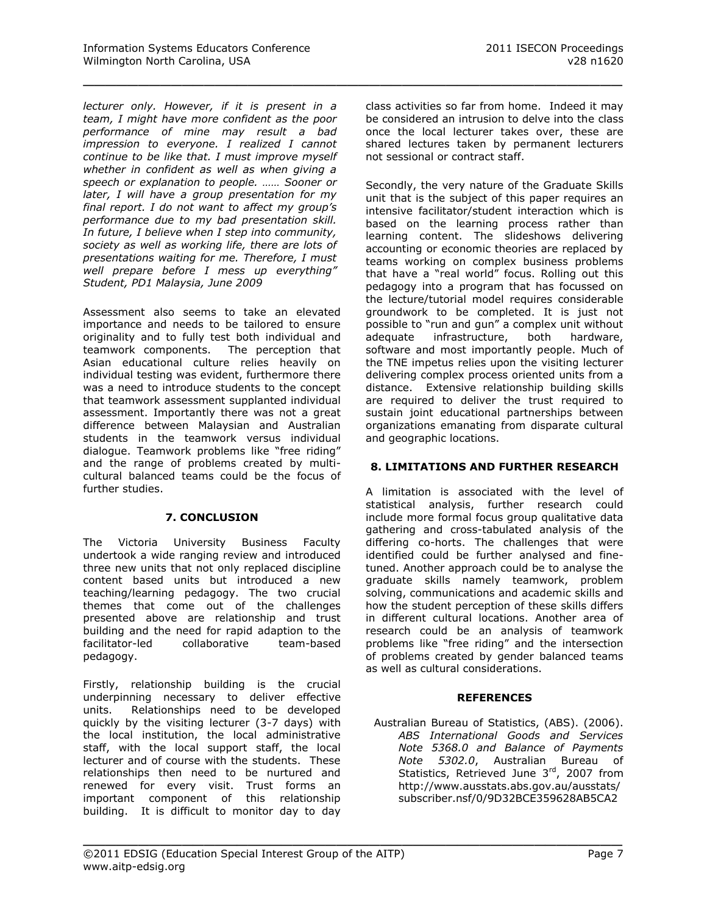*lecturer only. However, if it is present in a team, I might have more confident as the poor performance of mine may result a bad impression to everyone. I realized I cannot continue to be like that. I must improve myself whether in confident as well as when giving a speech or explanation to people. …… Sooner or later, I will have a group presentation for my final report. I do not want to affect my group's performance due to my bad presentation skill. In future, I believe when I step into community, society as well as working life, there are lots of presentations waiting for me. Therefore, I must well prepare before I mess up everything" Student, PD1 Malaysia, June 2009*

Assessment also seems to take an elevated importance and needs to be tailored to ensure originality and to fully test both individual and teamwork components. The perception that Asian educational culture relies heavily on individual testing was evident, furthermore there was a need to introduce students to the concept that teamwork assessment supplanted individual assessment. Importantly there was not a great difference between Malaysian and Australian students in the teamwork versus individual dialogue. Teamwork problems like "free riding" and the range of problems created by multicultural balanced teams could be the focus of further studies.

# **7. CONCLUSION**

The Victoria University Business Faculty undertook a wide ranging review and introduced three new units that not only replaced discipline content based units but introduced a new teaching/learning pedagogy. The two crucial themes that come out of the challenges presented above are relationship and trust building and the need for rapid adaption to the facilitator-led collaborative team-based pedagogy.

Firstly, relationship building is the crucial underpinning necessary to deliver effective units. Relationships need to be developed quickly by the visiting lecturer (3-7 days) with the local institution, the local administrative staff, with the local support staff, the local lecturer and of course with the students. These relationships then need to be nurtured and renewed for every visit. Trust forms an important component of this relationship building. It is difficult to monitor day to day

class activities so far from home. Indeed it may be considered an intrusion to delve into the class once the local lecturer takes over, these are shared lectures taken by permanent lecturers not sessional or contract staff.

\_\_\_\_\_\_\_\_\_\_\_\_\_\_\_\_\_\_\_\_\_\_\_\_\_\_\_\_\_\_\_\_\_\_\_\_\_\_\_\_\_\_\_\_\_\_\_\_\_

Secondly, the very nature of the Graduate Skills unit that is the subject of this paper requires an intensive facilitator/student interaction which is based on the learning process rather than learning content. The slideshows delivering accounting or economic theories are replaced by teams working on complex business problems that have a "real world" focus. Rolling out this pedagogy into a program that has focussed on the lecture/tutorial model requires considerable groundwork to be completed. It is just not possible to "run and gun" a complex unit without adequate infrastructure, both hardware, software and most importantly people. Much of the TNE impetus relies upon the visiting lecturer delivering complex process oriented units from a distance. Extensive relationship building skills are required to deliver the trust required to sustain joint educational partnerships between organizations emanating from disparate cultural and geographic locations.

# **8. LIMITATIONS AND FURTHER RESEARCH**

A limitation is associated with the level of statistical analysis, further research could include more formal focus group qualitative data gathering and cross-tabulated analysis of the differing co-horts. The challenges that were identified could be further analysed and finetuned. Another approach could be to analyse the graduate skills namely teamwork, problem solving, communications and academic skills and how the student perception of these skills differs in different cultural locations. Another area of research could be an analysis of teamwork problems like "free riding" and the intersection of problems created by gender balanced teams as well as cultural considerations.

#### **REFERENCES**

Australian Bureau of Statistics, (ABS). (2006). *ABS International Goods and Services Note 5368.0 and Balance of Payments Note 5302.0*, Australian Bureau of Statistics, Retrieved June 3<sup>rd</sup>, 2007 from [http://www.ausstats.abs.gov.au/ausstats/](http://www.ausstats.abs.gov.au/ausstats/subscriber.nsf/0/9D32BCE359628AB5CA2572D00012E0D8/$File/53680_Mar%202007(reissue).PDF) [subscriber.nsf/0/9D32BCE359628AB5CA2](http://www.ausstats.abs.gov.au/ausstats/subscriber.nsf/0/9D32BCE359628AB5CA2572D00012E0D8/$File/53680_Mar%202007(reissue).PDF)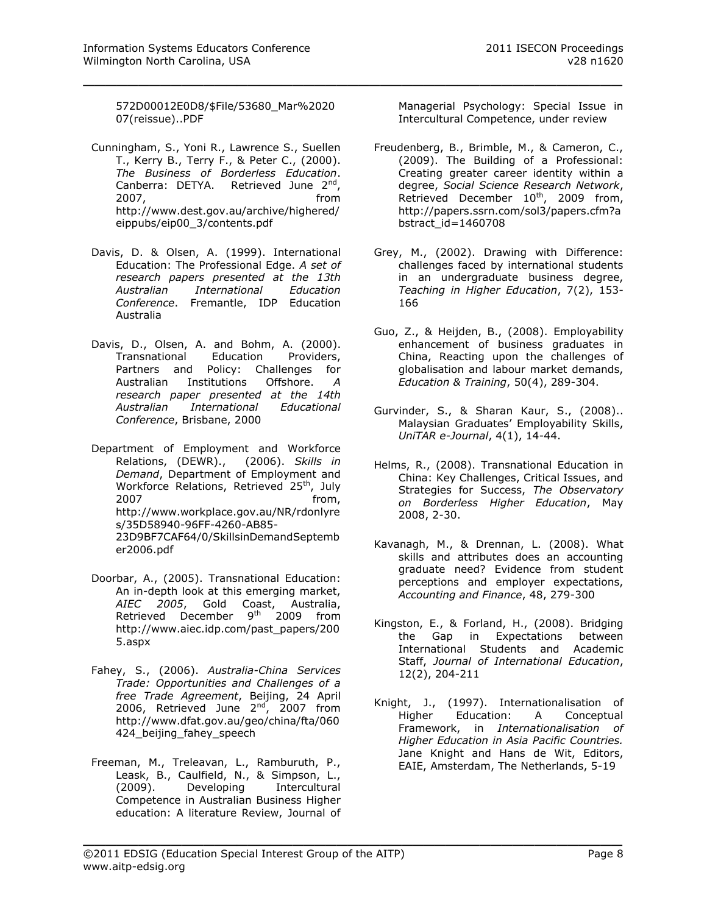[572D00012E0D8/\\$File/53680\\_Mar%2020](http://www.ausstats.abs.gov.au/ausstats/subscriber.nsf/0/9D32BCE359628AB5CA2572D00012E0D8/$File/53680_Mar%202007(reissue).PDF) [07\(reissue\)..PDF](http://www.ausstats.abs.gov.au/ausstats/subscriber.nsf/0/9D32BCE359628AB5CA2572D00012E0D8/$File/53680_Mar%202007(reissue).PDF)

\_\_\_\_\_\_\_\_\_\_\_\_\_\_\_\_\_\_\_\_\_\_\_\_\_\_\_\_\_\_\_\_\_\_\_\_\_\_\_\_\_\_\_\_\_\_\_\_\_

- Cunningham, S., Yoni R., Lawrence S., Suellen T., Kerry B., Terry F., & Peter C., (2000). *The Business of Borderless Education*. Canberra: DETYA. Retrieved June 2<sup>nd</sup>, 2007, from [http://www.dest.gov.au/archive/highered/](http://www.dest.gov.au/archive/highered/eippubs/eip00_3/contents.pdf) [eippubs/eip00\\_3/contents.pdf](http://www.dest.gov.au/archive/highered/eippubs/eip00_3/contents.pdf)
- Davis, D. & Olsen, A. (1999). International Education: The Professional Edge. *A set of research papers presented at the 13th Australian International Education Conference*. Fremantle, IDP Education Australia
- Davis, D., Olsen, A. and Bohm, A. (2000). Transnational Education Providers, Partners and Policy: Challenges for Australian Institutions Offshore. *A research paper presented at the 14th Australian International Educational Conference*, Brisbane, 2000
- Department of Employment and Workforce Relations, (DEWR)., (2006). *Skills in Demand*, Department of Employment and Workforce Relations, Retrieved 25<sup>th</sup>, July 2007 **from**, [http://www.workplace.gov.au/NR/rdonlyre](http://www.workplace.gov.au/NR/rdonlyres/35D58940-96FF-4260-AB85-23D9BF7CAF64/0/SkillsinDemandSeptember2006.pdf) [s/35D58940-96FF-4260-AB85-](http://www.workplace.gov.au/NR/rdonlyres/35D58940-96FF-4260-AB85-23D9BF7CAF64/0/SkillsinDemandSeptember2006.pdf) [23D9BF7CAF64/0/SkillsinDemandSeptemb](http://www.workplace.gov.au/NR/rdonlyres/35D58940-96FF-4260-AB85-23D9BF7CAF64/0/SkillsinDemandSeptember2006.pdf) [er2006.pdf](http://www.workplace.gov.au/NR/rdonlyres/35D58940-96FF-4260-AB85-23D9BF7CAF64/0/SkillsinDemandSeptember2006.pdf)
- Doorbar, A., (2005). Transnational Education: An in-depth look at this emerging market, *AIEC 2005*, Gold Coast, Australia, Retrieved December 9<sup>th</sup> 2009 from [http://www.aiec.idp.com/past\\_papers/200](http://www.aiec.idp.com/past_papers/2005.aspx) [5.aspx](http://www.aiec.idp.com/past_papers/2005.aspx)
- Fahey, S., (2006). *Australia-China Services Trade: Opportunities and Challenges of a free Trade Agreement*, Beijing, 24 April 2006, Retrieved June  $2<sup>nd</sup>$ , 2007 from [http://www.dfat.gov.au/geo/china/fta/060](http://www.dfat.gov.au/geo/china/fta/060424_beijing_fahey_speech) 424 beijing fahey speech
- Freeman, M., Treleavan, L., Ramburuth, P., Leask, B., Caulfield, N., & Simpson, L.,<br>(2009). Developing Intercultural Developing Intercultural Competence in Australian Business Higher education: A literature Review, Journal of

Managerial Psychology: Special Issue in Intercultural Competence, under review

- Freudenberg, B., Brimble, M., & Cameron, C., (2009). The Building of a Professional: Creating greater career identity within a degree, *Social Science Research Network*, Retrieved December 10<sup>th</sup>, 2009 from, [http://papers.ssrn.com/sol3/papers.cfm?a](http://papers.ssrn.com/sol3/papers.cfm?abstract_id=1460708) [bstract\\_id=1460708](http://papers.ssrn.com/sol3/papers.cfm?abstract_id=1460708)
- Grey, M., (2002). Drawing with Difference: challenges faced by international students in an undergraduate business degree, *Teaching in Higher Education*, 7(2), 153- 166
- Guo, Z., & Heijden, B., (2008). Employability enhancement of business graduates in China, Reacting upon the challenges of globalisation and labour market demands, *Education & Training*, 50(4), 289-304.
- Gurvinder, S., & Sharan Kaur, S., (2008).. Malaysian Graduates' Employability Skills, *UniTAR e-Journal*, 4(1), 14-44.
- Helms, R., (2008). Transnational Education in China: Key Challenges, Critical Issues, and Strategies for Success, *The Observatory on Borderless Higher Education*, May 2008, 2-30.
- Kavanagh, M., & Drennan, L. (2008). What skills and attributes does an accounting graduate need? Evidence from student perceptions and employer expectations, *Accounting and Finance*, 48, 279-300
- Kingston, E., & Forland, H., (2008). Bridging the Gap in Expectations between International Students and Academic Staff, *Journal of International Education*, 12(2), 204-211
- Knight, J., (1997). Internationalisation of Higher Education: A Conceptual Framework, in *Internationalisation of Higher Education in Asia Pacific Countries.* Jane Knight and Hans de Wit, Editors, EAIE, Amsterdam, The Netherlands, 5-19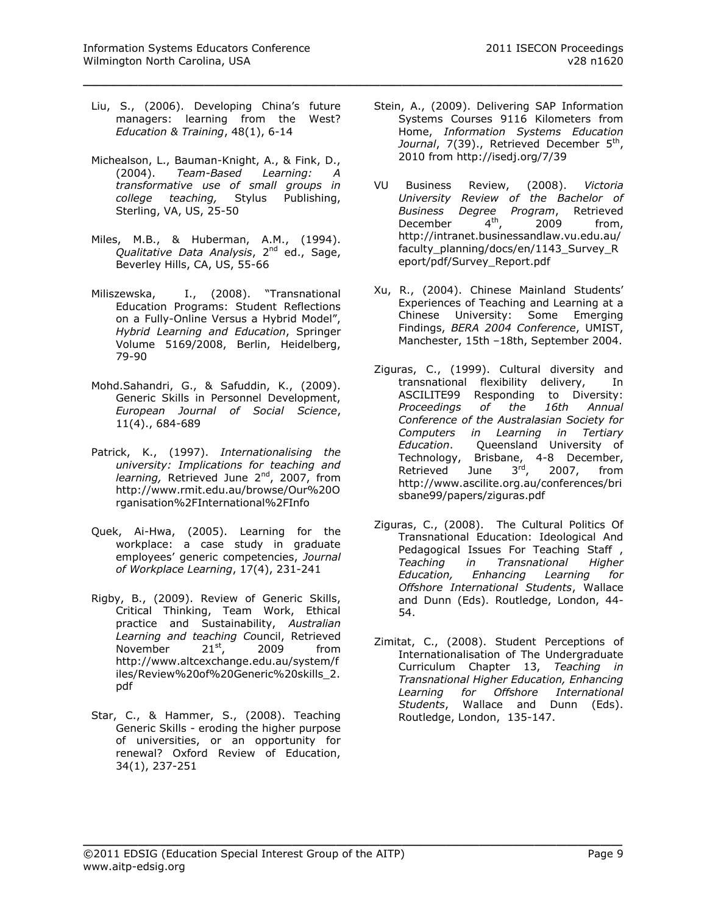Liu, S., (2006). Developing China's future managers: learning from the West? *Education & Training*, 48(1), 6-14

- Michealson, L., Bauman-Knight, A., & Fink, D., (2004). *Team-Based Learning: A transformative use of small groups in college teaching,* Stylus Publishing, Sterling, VA, US, 25-50
- Miles, M.B., & Huberman, A.M., (1994). *Qualitative Data Analysis*, 2nd ed., Sage, Beverley Hills, CA, US, 55-66
- Miliszewska, I., (2008). "Transnational Education Programs: Student Reflections on a Fully-Online Versus a Hybrid Model", *Hybrid Learning and Education*, Springer Volume 5169/2008, Berlin, Heidelberg, 79-90
- Mohd.Sahandri, G., & Safuddin, K., (2009). Generic Skills in Personnel Development, *European Journal of Social Science*, 11(4)., 684-689
- Patrick, K., (1997). *Internationalising the university: Implications for teaching and learning*, Retrieved June 2<sup>nd</sup>, 2007, from [http://www.rmit.edu.au/browse/Our%20O](http://www.rmit.edu.au/browse/Our%20Organisation%2FInternational%2FInfo) [rganisation%2FInternational%2FInfo](http://www.rmit.edu.au/browse/Our%20Organisation%2FInternational%2FInfo)
- Quek, Ai-Hwa, (2005). Learning for the workplace: a case study in graduate employees' generic competencies, *Journal of Workplace Learning*, 17(4), 231-241
- Rigby, B., (2009). Review of Generic Skills, Critical Thinking, Team Work, Ethical practice and Sustainability, *Australian Learning and teaching Co*uncil, Retrieved November  $21^{st}$ , 2009 from [http://www.altcexchange.edu.au/system/f](http://www.altcexchange.edu.au/system/files/Review%20of%20Generic%20skills_2.pdf) [iles/Review%20of%20Generic%20skills\\_2.](http://www.altcexchange.edu.au/system/files/Review%20of%20Generic%20skills_2.pdf) [pdf](http://www.altcexchange.edu.au/system/files/Review%20of%20Generic%20skills_2.pdf)
- Star, C., & Hammer, S., (2008). Teaching Generic Skills - eroding the higher purpose of universities, or an opportunity for renewal? Oxford Review of Education, 34(1), 237-251
- Stein, A., (2009). Delivering SAP Information Systems Courses 9116 Kilometers from Home, *Information Systems Education*  Journal, 7(39)., Retrieved December 5<sup>th</sup>, 2010 from<http://isedj.org/7/39>
- VU Business Review, (2008). *Victoria University Review of the Bachelor of Business Degree Program*, Retrieved December  $4<sup>th</sup>$ , 2009 from, [http://intranet.businessandlaw.vu.edu.au/](http://intranet.businessandlaw.vu.edu.au/faculty_planning/docs/en/1143_Survey_Report/pdf/Survey_Report.pdf) [faculty\\_planning/docs/en/1143\\_Survey\\_R](http://intranet.businessandlaw.vu.edu.au/faculty_planning/docs/en/1143_Survey_Report/pdf/Survey_Report.pdf) [eport/pdf/Survey\\_Report.pdf](http://intranet.businessandlaw.vu.edu.au/faculty_planning/docs/en/1143_Survey_Report/pdf/Survey_Report.pdf)
- Xu, R., (2004). Chinese Mainland Students' Experiences of Teaching and Learning at a Chinese University: Some Emerging Findings, *BERA 2004 Conference*, UMIST, Manchester, 15th –18th, September 2004.
- Ziguras, C., (1999). Cultural diversity and transnational flexibility delivery, In ASCILITE99 Responding to Diversity: *Proceedings of the 16th Annual Conference of the Australasian Society for Computers in Learning in Tertiary Education*. Queensland University of Technology, Brisbane, 4-8 December, Retrieved June 3<sup>rd</sup>, 2007, from [http://www.ascilite.org.au/conferences/bri](http://www.ascilite.org.au/conferences/brisbane99/papers/ziguras.pdf) [sbane99/papers/ziguras.pdf](http://www.ascilite.org.au/conferences/brisbane99/papers/ziguras.pdf)
- Ziguras, C., (2008). The Cultural Politics Of Transnational Education: Ideological And Pedagogical Issues For Teaching Staff, *Teaching in Transnational Higher Education, Enhancing Learning for Offshore International Students*, Wallace and Dunn (Eds). Routledge, London, 44- 54.
- Zimitat, C., (2008). Student Perceptions of Internationalisation of The Undergraduate Curriculum Chapter 13, *Teaching in Transnational Higher Education, Enhancing Learning for Offshore International Students*, Wallace and Dunn (Eds). Routledge, London, 135-147.